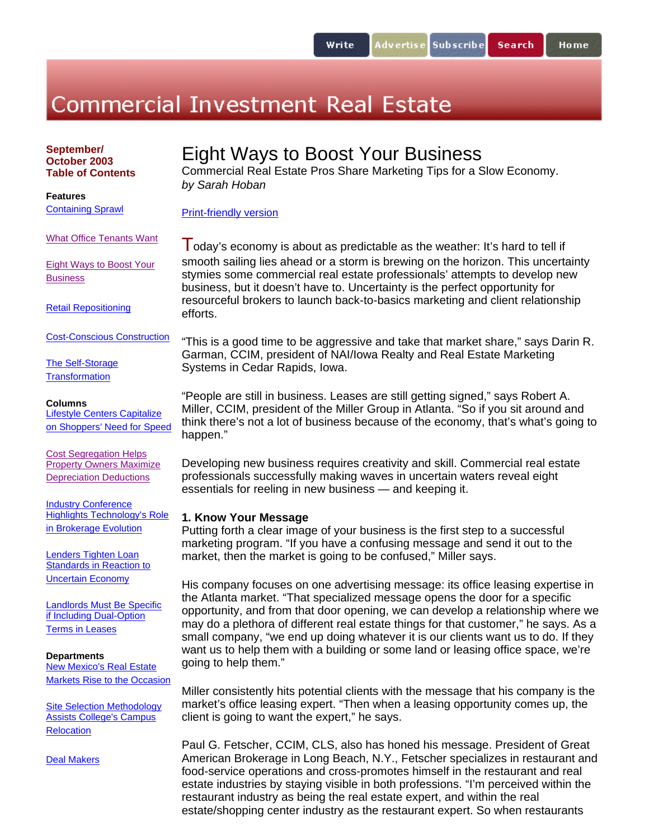# **Commercial Investment Real Estate**

**September/ October 2003 Table of Contents** 

Containing Sprawl

**Features**

## Eight Ways to Boost Your Business

Commercial Real Estate Pros Share Marketing Tips for a Slow Economy. *by Sarah Hoban*

Print-friendly version

What Office Tenants Want

Eight Ways to Boost Your **Business** 

Retail Repositioning

Cost-Conscious Construction

The Self-Storage **Transformation** 

#### **Columns**

Lifestyle Centers Capitalize on Shoppers' Need for Speed

Cost Segregation Helps Property Owners Maximize Depreciation Deductions

Industry Conference Highlights Technology's Role in Brokerage Evolution

Lenders Tighten Loan Standards in Reaction to Uncertain Economy

Landlords Must Be Specific if Including Dual-Option Terms in Leases

#### **Departments**

New Mexico's Real Estate Markets Rise to the Occasion

Site Selection Methodology Assists College's Campus **Relocation** 

Deal Makers

 $\overline{1}$  oday's economy is about as predictable as the weather: It's hard to tell if smooth sailing lies ahead or a storm is brewing on the horizon. This uncertainty stymies some commercial real estate professionals' attempts to develop new business, but it doesn't have to. Uncertainty is the perfect opportunity for resourceful brokers to launch back-to-basics marketing and client relationship efforts.

"This is a good time to be aggressive and take that market share," says Darin R. Garman, CCIM, president of NAI/Iowa Realty and Real Estate Marketing Systems in Cedar Rapids, Iowa.

"People are still in business. Leases are still getting signed," says Robert A. Miller, CCIM, president of the Miller Group in Atlanta. "So if you sit around and think there's not a lot of business because of the economy, that's what's going to happen."

Developing new business requires creativity and skill. Commercial real estate professionals successfully making waves in uncertain waters reveal eight essentials for reeling in new business — and keeping it.

### **1. Know Your Message**

Putting forth a clear image of your business is the first step to a successful marketing program. "If you have a confusing message and send it out to the market, then the market is going to be confused," Miller says.

His company focuses on one advertising message: its office leasing expertise in the Atlanta market. "That specialized message opens the door for a specific opportunity, and from that door opening, we can develop a relationship where we may do a plethora of different real estate things for that customer," he says. As a small company, "we end up doing whatever it is our clients want us to do. If they want us to help them with a building or some land or leasing office space, we're going to help them."

Miller consistently hits potential clients with the message that his company is the market's office leasing expert. "Then when a leasing opportunity comes up, the client is going to want the expert," he says.

Paul G. Fetscher, CCIM, CLS, also has honed his message. President of Great American Brokerage in Long Beach, N.Y., Fetscher specializes in restaurant and food-service operations and cross-promotes himself in the restaurant and real estate industries by staying visible in both professions. "I'm perceived within the restaurant industry as being the real estate expert, and within the real estate/shopping center industry as the restaurant expert. So when restaurants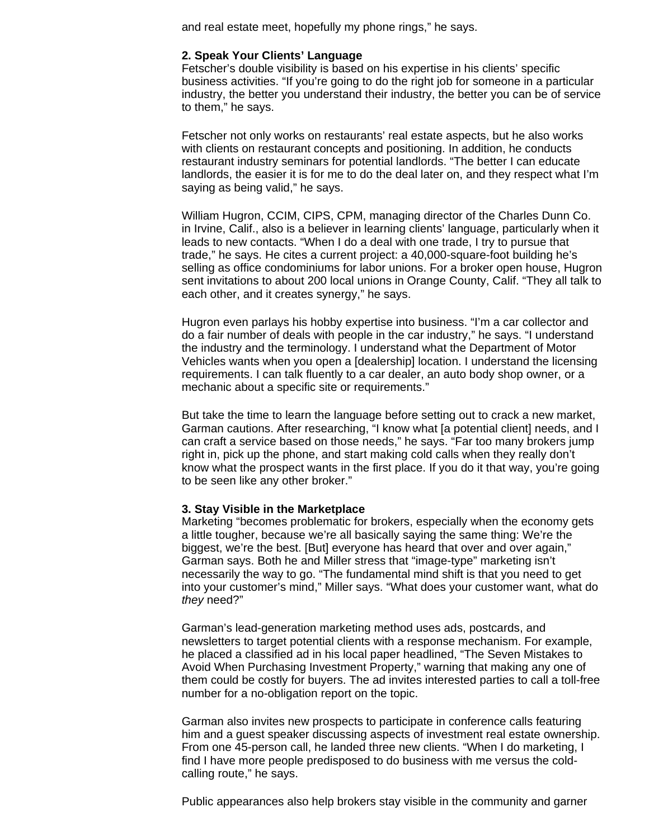and real estate meet, hopefully my phone rings," he says.

#### **2. Speak Your Clients' Language**

Fetscher's double visibility is based on his expertise in his clients' specific business activities. "If you're going to do the right job for someone in a particular industry, the better you understand their industry, the better you can be of service to them," he says.

Fetscher not only works on restaurants' real estate aspects, but he also works with clients on restaurant concepts and positioning. In addition, he conducts restaurant industry seminars for potential landlords. "The better I can educate landlords, the easier it is for me to do the deal later on, and they respect what I'm saying as being valid," he says.

William Hugron, CCIM, CIPS, CPM, managing director of the Charles Dunn Co. in Irvine, Calif., also is a believer in learning clients' language, particularly when it leads to new contacts. "When I do a deal with one trade, I try to pursue that trade," he says. He cites a current project: a 40,000-square-foot building he's selling as office condominiums for labor unions. For a broker open house, Hugron sent invitations to about 200 local unions in Orange County, Calif. "They all talk to each other, and it creates synergy," he says.

Hugron even parlays his hobby expertise into business. "I'm a car collector and do a fair number of deals with people in the car industry," he says. "I understand the industry and the terminology. I understand what the Department of Motor Vehicles wants when you open a [dealership] location. I understand the licensing requirements. I can talk fluently to a car dealer, an auto body shop owner, or a mechanic about a specific site or requirements."

But take the time to learn the language before setting out to crack a new market, Garman cautions. After researching, "I know what [a potential client] needs, and I can craft a service based on those needs," he says. "Far too many brokers jump right in, pick up the phone, and start making cold calls when they really don't know what the prospect wants in the first place. If you do it that way, you're going to be seen like any other broker."

#### **3. Stay Visible in the Marketplace**

Marketing "becomes problematic for brokers, especially when the economy gets a little tougher, because we're all basically saying the same thing: We're the biggest, we're the best. [But] everyone has heard that over and over again," Garman says. Both he and Miller stress that "image-type" marketing isn't necessarily the way to go. "The fundamental mind shift is that you need to get into your customer's mind," Miller says. "What does your customer want, what do *they* need?"

Garman's lead-generation marketing method uses ads, postcards, and newsletters to target potential clients with a response mechanism. For example, he placed a classified ad in his local paper headlined, "The Seven Mistakes to Avoid When Purchasing Investment Property," warning that making any one of them could be costly for buyers. The ad invites interested parties to call a toll-free number for a no-obligation report on the topic.

Garman also invites new prospects to participate in conference calls featuring him and a guest speaker discussing aspects of investment real estate ownership. From one 45-person call, he landed three new clients. "When I do marketing, I find I have more people predisposed to do business with me versus the coldcalling route," he says.

Public appearances also help brokers stay visible in the community and garner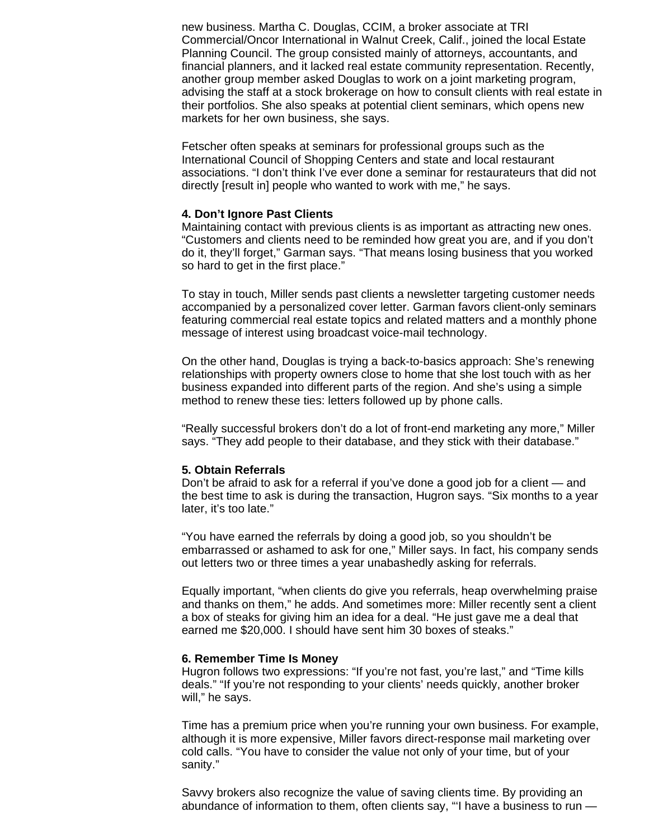new business. Martha C. Douglas, CCIM, a broker associate at TRI Commercial/Oncor International in Walnut Creek, Calif., joined the local Estate Planning Council. The group consisted mainly of attorneys, accountants, and financial planners, and it lacked real estate community representation. Recently, another group member asked Douglas to work on a joint marketing program, advising the staff at a stock brokerage on how to consult clients with real estate in their portfolios. She also speaks at potential client seminars, which opens new markets for her own business, she says.

Fetscher often speaks at seminars for professional groups such as the International Council of Shopping Centers and state and local restaurant associations. "I don't think I've ever done a seminar for restaurateurs that did not directly [result in] people who wanted to work with me," he says.

#### **4. Don't Ignore Past Clients**

Maintaining contact with previous clients is as important as attracting new ones. "Customers and clients need to be reminded how great you are, and if you don't do it, they'll forget," Garman says. "That means losing business that you worked so hard to get in the first place."

To stay in touch, Miller sends past clients a newsletter targeting customer needs accompanied by a personalized cover letter. Garman favors client-only seminars featuring commercial real estate topics and related matters and a monthly phone message of interest using broadcast voice-mail technology.

On the other hand, Douglas is trying a back-to-basics approach: She's renewing relationships with property owners close to home that she lost touch with as her business expanded into different parts of the region. And she's using a simple method to renew these ties: letters followed up by phone calls.

"Really successful brokers don't do a lot of front-end marketing any more," Miller says. "They add people to their database, and they stick with their database."

#### **5. Obtain Referrals**

Don't be afraid to ask for a referral if you've done a good job for a client — and the best time to ask is during the transaction, Hugron says. "Six months to a year later, it's too late."

"You have earned the referrals by doing a good job, so you shouldn't be embarrassed or ashamed to ask for one," Miller says. In fact, his company sends out letters two or three times a year unabashedly asking for referrals.

Equally important, "when clients do give you referrals, heap overwhelming praise and thanks on them," he adds. And sometimes more: Miller recently sent a client a box of steaks for giving him an idea for a deal. "He just gave me a deal that earned me \$20,000. I should have sent him 30 boxes of steaks."

#### **6. Remember Time Is Money**

Hugron follows two expressions: "If you're not fast, you're last," and "Time kills deals." "If you're not responding to your clients' needs quickly, another broker will," he says.

Time has a premium price when you're running your own business. For example, although it is more expensive, Miller favors direct-response mail marketing over cold calls. "You have to consider the value not only of your time, but of your sanity."

Savvy brokers also recognize the value of saving clients time. By providing an abundance of information to them, often clients say, "'I have a business to run —